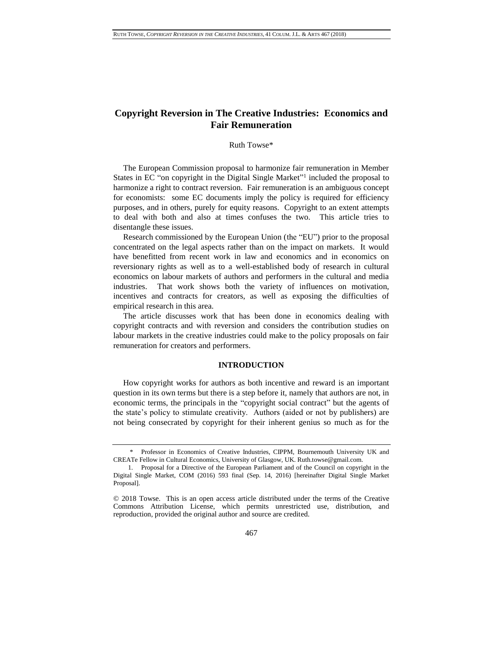# **Copyright Reversion in The Creative Industries: Economics and Fair Remuneration**

### <span id="page-0-0"></span>Ruth Towse\*

The European Commission proposal to harmonize fair remuneration in Member States in EC "on copyright in the Digital Single Market"<sup>1</sup> included the proposal to harmonize a right to contract reversion. Fair remuneration is an ambiguous concept for economists: some EC documents imply the policy is required for efficiency purposes, and in others, purely for equity reasons. Copyright to an extent attempts to deal with both and also at times confuses the two. This article tries to disentangle these issues.

Research commissioned by the European Union (the "EU") prior to the proposal concentrated on the legal aspects rather than on the impact on markets. It would have benefitted from recent work in law and economics and in economics on reversionary rights as well as to a well-established body of research in cultural economics on labour markets of authors and performers in the cultural and media industries. That work shows both the variety of influences on motivation, incentives and contracts for creators, as well as exposing the difficulties of empirical research in this area.

The article discusses work that has been done in economics dealing with copyright contracts and with reversion and considers the contribution studies on labour markets in the creative industries could make to the policy proposals on fair remuneration for creators and performers.

# **INTRODUCTION**

How copyright works for authors as both incentive and reward is an important question in its own terms but there is a step before it, namely that authors are not, in economic terms, the principals in the "copyright social contract" but the agents of the state's policy to stimulate creativity. Authors (aided or not by publishers) are not being consecrated by copyright for their inherent genius so much as for the

<sup>\*</sup> Professor in Economics of Creative Industries, CIPPM, Bournemouth University UK and CREATe Fellow in Cultural Economics, University of Glasgow, UK. Ruth.towse@gmail.com.

<sup>1.</sup> Proposal for a Directive of the European Parliament and of the Council on copyright in the Digital Single Market, COM (2016) 593 final (Sep. 14, 2016) [hereinafter Digital Single Market Proposal].

<sup>© 2018</sup> Towse. This is an open access article distributed under the terms of the [Creative](https://creativecommons.org/licenses/by/4.0/)  [Commons Attribution License,](https://creativecommons.org/licenses/by/4.0/) which permits unrestricted use, distribution, and reproduction, provided the original author and source are credited.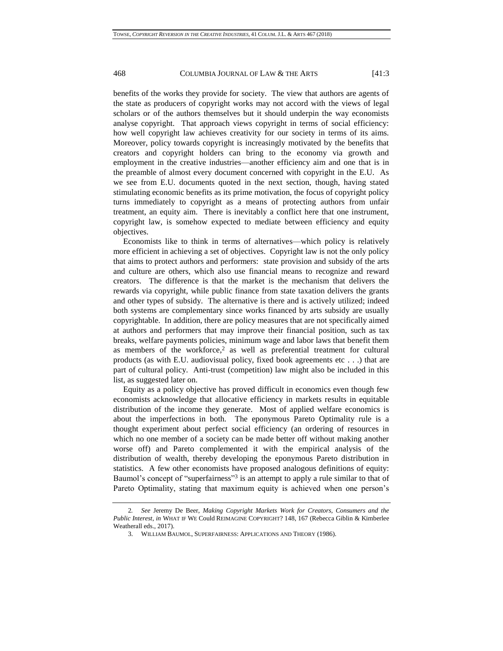benefits of the works they provide for society. The view that authors are agents of the state as producers of copyright works may not accord with the views of legal scholars or of the authors themselves but it should underpin the way economists analyse copyright. That approach views copyright in terms of social efficiency: how well copyright law achieves creativity for our society in terms of its aims. Moreover, policy towards copyright is increasingly motivated by the benefits that creators and copyright holders can bring to the economy via growth and employment in the creative industries—another efficiency aim and one that is in the preamble of almost every document concerned with copyright in the E.U. As we see from E.U. documents quoted in the next section, though, having stated stimulating economic benefits as its prime motivation, the focus of copyright policy turns immediately to copyright as a means of protecting authors from unfair treatment, an equity aim. There is inevitably a conflict here that one instrument, copyright law, is somehow expected to mediate between efficiency and equity objectives.

Economists like to think in terms of alternatives—which policy is relatively more efficient in achieving a set of objectives. Copyright law is not the only policy that aims to protect authors and performers: state provision and subsidy of the arts and culture are others, which also use financial means to recognize and reward creators. The difference is that the market is the mechanism that delivers the rewards via copyright, while public finance from state taxation delivers the grants and other types of subsidy. The alternative is there and is actively utilized; indeed both systems are complementary since works financed by arts subsidy are usually copyrightable. In addition, there are policy measures that are not specifically aimed at authors and performers that may improve their financial position, such as tax breaks, welfare payments policies, minimum wage and labor laws that benefit them as members of the workforce,<sup>2</sup> as well as preferential treatment for cultural products (as with E.U. audiovisual policy, fixed book agreements etc...) that are part of cultural policy. Anti-trust (competition) law might also be included in this list, as suggested later on.

Equity as a policy objective has proved difficult in economics even though few economists acknowledge that allocative efficiency in markets results in equitable distribution of the income they generate. Most of applied welfare economics is about the imperfections in both. The eponymous Pareto Optimality rule is a thought experiment about perfect social efficiency (an ordering of resources in which no one member of a society can be made better off without making another worse off) and Pareto complemented it with the empirical analysis of the distribution of wealth, thereby developing the eponymous Pareto distribution in statistics. A few other economists have proposed analogous definitions of equity: Baumol's concept of "superfairness"<sup>3</sup> is an attempt to apply a rule similar to that of Pareto Optimality, stating that maximum equity is achieved when one person's

<sup>2</sup>*. See* Jeremy De Beer, *Making Copyright Markets Work for Creators, Consumers and the Public Interest*, *in* WHAT IF WE Could REIMAGINE COPYRIGHT? 148, 167 (Rebecca Giblin & Kimberlee Weatherall eds., 2017).

<sup>3.</sup> WILLIAM BAUMOL, SUPERFAIRNESS: APPLICATIONS AND THEORY (1986).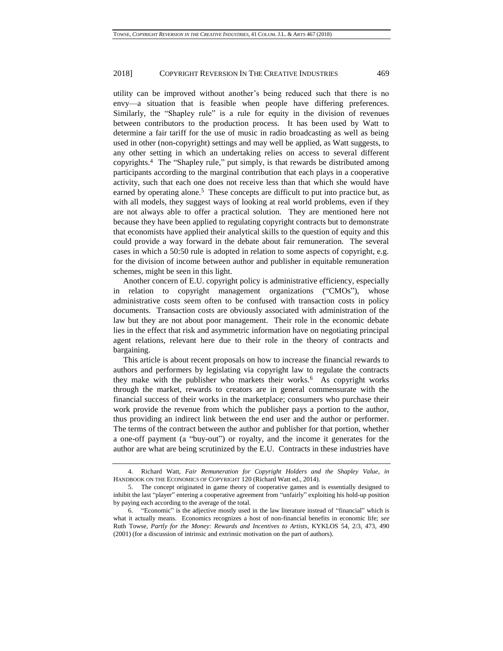utility can be improved without another's being reduced such that there is no envy—a situation that is feasible when people have differing preferences. Similarly, the "Shapley rule" is a rule for equity in the division of revenues between contributors to the production process. It has been used by Watt to determine a fair tariff for the use of music in radio broadcasting as well as being used in other (non-copyright) settings and may well be applied, as Watt suggests, to any other setting in which an undertaking relies on access to several different copyrights.<sup>4</sup> The "Shapley rule," put simply, is that rewards be distributed among participants according to the marginal contribution that each plays in a cooperative activity, such that each one does not receive less than that which she would have earned by operating alone.<sup>5</sup> These concepts are difficult to put into practice but, as with all models, they suggest ways of looking at real world problems, even if they are not always able to offer a practical solution. They are mentioned here not because they have been applied to regulating copyright contracts but to demonstrate that economists have applied their analytical skills to the question of equity and this could provide a way forward in the debate about fair remuneration. The several cases in which a 50:50 rule is adopted in relation to some aspects of copyright, e.g. for the division of income between author and publisher in equitable remuneration schemes, might be seen in this light.

Another concern of E.U. copyright policy is administrative efficiency, especially in relation to copyright management organizations ("CMOs"), whose administrative costs seem often to be confused with transaction costs in policy documents. Transaction costs are obviously associated with administration of the law but they are not about poor management. Their role in the economic debate lies in the effect that risk and asymmetric information have on negotiating principal agent relations, relevant here due to their role in the theory of contracts and bargaining.

This article is about recent proposals on how to increase the financial rewards to authors and performers by legislating via copyright law to regulate the contracts they make with the publisher who markets their works.<sup>6</sup> As copyright works through the market, rewards to creators are in general commensurate with the financial success of their works in the marketplace; consumers who purchase their work provide the revenue from which the publisher pays a portion to the author, thus providing an indirect link between the end user and the author or performer. The terms of the contract between the author and publisher for that portion, whether a one-off payment (a "buy-out") or royalty, and the income it generates for the author are what are being scrutinized by the E.U. Contracts in these industries have

<sup>4.</sup> Richard Watt, *Fair Remuneration for Copyright Holders and the Shapley Value*, *in* HANDBOOK ON THE ECONOMICS OF COPYRIGHT 120 (Richard Watt ed., 2014).

<sup>5.</sup> The concept originated in game theory of cooperative games and is essentially designed to inhibit the last "player" entering a cooperative agreement from "unfairly" exploiting his hold-up position by paying each according to the average of the total.

<sup>6.</sup> "Economic" is the adjective mostly used in the law literature instead of "financial" which is what it actually means. Economics recognizes a host of non-financial benefits in economic life; *see* Ruth Towse*, Partly for the Money: Rewards and Incentives to Artists*, KYKLOS 54, 2/3, 473, 490 (2001) (for a discussion of intrinsic and extrinsic motivation on the part of authors).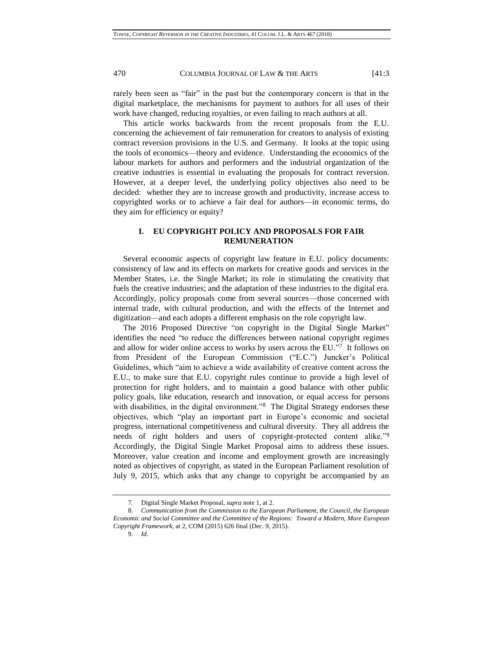rarely been seen as "fair" in the past but the contemporary concern is that in the digital marketplace, the mechanisms for payment to authors for all uses of their work have changed, reducing royalties, or even failing to reach authors at all.

This article works backwards from the recent proposals from the E.U. concerning the achievement of fair remuneration for creators to analysis of existing contract reversion provisions in the U.S. and Germany. It looks at the topic using the tools of economics—theory and evidence. Understanding the economics of the labour markets for authors and performers and the industrial organization of the creative industries is essential in evaluating the proposals for contract reversion. However, at a deeper level, the underlying policy objectives also need to be decided: whether they are to increase growth and productivity, increase access to copyrighted works or to achieve a fair deal for authors—in economic terms, do they aim for efficiency or equity?

# **I. EU COPYRIGHT POLICY AND PROPOSALS FOR FAIR REMUNERATION**

Several economic aspects of copyright law feature in E.U. policy documents: consistency of law and its effects on markets for creative goods and services in the Member States, i.e. the Single Market; its role in stimulating the creativity that fuels the creative industries; and the adaptation of these industries to the digital era. Accordingly, policy proposals come from several sources—those concerned with internal trade, with cultural production, and with the effects of the Internet and digitization—and each adopts a different emphasis on the role copyright law.

The 2016 Proposed Directive "on copyright in the Digital Single Market" identifies the need "to reduce the differences between national copyright regimes and allow for wider online access to works by users across the EU."<sup>7</sup> It follows on from President of the European Commission ("E.C.") Juncker's Political Guidelines, which "aim to achieve a wide availability of creative content across the E.U., to make sure that E.U. copyright rules continue to provide a high level of protection for right holders, and to maintain a good balance with other public policy goals, like education, research and innovation, or equal access for persons with disabilities, in the digital environment."<sup>8</sup> The Digital Strategy endorses these objectives, which "play an important part in Europe's economic and societal progress, international competitiveness and cultural diversity. They all address the needs of right holders and users of copyright-protected content alike."<sup>9</sup> Accordingly, the Digital Single Market Proposal aims to address these issues. Moreover, value creation and income and employment growth are increasingly noted as objectives of copyright, as stated in the European Parliament resolution of July 9, 2015, which asks that any change to copyright be accompanied by an

<sup>7</sup>*.* Digital Single Market Proposal, *supra* note [1,](#page-0-0) at 2.

<sup>8.</sup> *Communication from the Commission to the European Parliament, the Council, the European Economic and Social Committee and the Committee of the Regions: Toward a Modern, More European Copyright Framework*, at 2, COM (2015) 626 final (Dec. 9, 2015).

<sup>9.</sup> *Id*.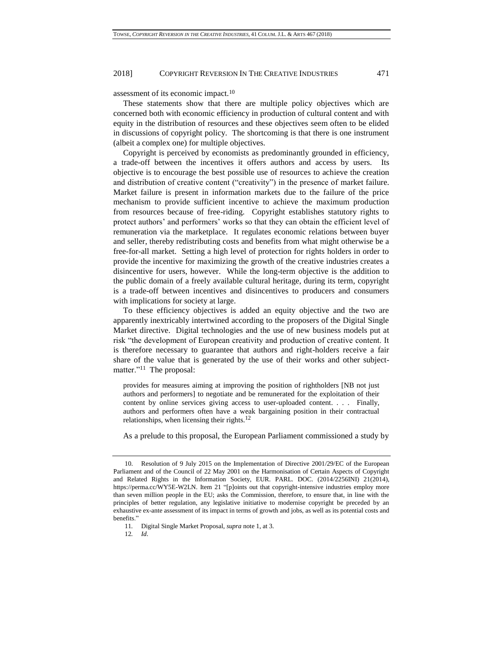assessment of its economic impact.<sup>10</sup>

These statements show that there are multiple policy objectives which are concerned both with economic efficiency in production of cultural content and with equity in the distribution of resources and these objectives seem often to be elided in discussions of copyright policy. The shortcoming is that there is one instrument (albeit a complex one) for multiple objectives.

Copyright is perceived by economists as predominantly grounded in efficiency, a trade-off between the incentives it offers authors and access by users. Its objective is to encourage the best possible use of resources to achieve the creation and distribution of creative content ("creativity") in the presence of market failure. Market failure is present in information markets due to the failure of the price mechanism to provide sufficient incentive to achieve the maximum production from resources because of free-riding. Copyright establishes statutory rights to protect authors' and performers' works so that they can obtain the efficient level of remuneration via the marketplace. It regulates economic relations between buyer and seller, thereby redistributing costs and benefits from what might otherwise be a free-for-all market. Setting a high level of protection for rights holders in order to provide the incentive for maximizing the growth of the creative industries creates a disincentive for users, however. While the long-term objective is the addition to the public domain of a freely available cultural heritage, during its term, copyright is a trade-off between incentives and disincentives to producers and consumers with implications for society at large.

To these efficiency objectives is added an equity objective and the two are apparently inextricably intertwined according to the proposers of the Digital Single Market directive. Digital technologies and the use of new business models put at risk "the development of European creativity and production of creative content. It is therefore necessary to guarantee that authors and right-holders receive a fair share of the value that is generated by the use of their works and other subjectmatter."<sup>11</sup> The proposal:

provides for measures aiming at improving the position of rightholders [NB not just authors and performers] to negotiate and be remunerated for the exploitation of their content by online services giving access to user-uploaded content. . . . Finally, authors and performers often have a weak bargaining position in their contractual relationships, when licensing their rights.<sup>12</sup>

As a prelude to this proposal, the European Parliament commissioned a study by

12*. Id*.

<sup>10.</sup> Resolution of 9 July 2015 on the Implementation of Directive 2001/29/EC of the European Parliament and of the Council of 22 May 2001 on the Harmonisation of Certain Aspects of Copyright and Related Rights in the Information Society, EUR. PARL. DOC. (2014/2256INI) 21(2014), https://perma.cc/WY5E-W2LN. Item 21 "[p]oints out that copyright-intensive industries employ more than seven million people in the EU; asks the Commission, therefore, to ensure that, in line with the principles of better regulation, any legislative initiative to modernise copyright be preceded by an exhaustive ex-ante assessment of its impact in terms of growth and jobs, as well as its potential costs and benefits."

<sup>11</sup>*.* Digital Single Market Proposal, *supra* note [1,](#page-0-0) at 3.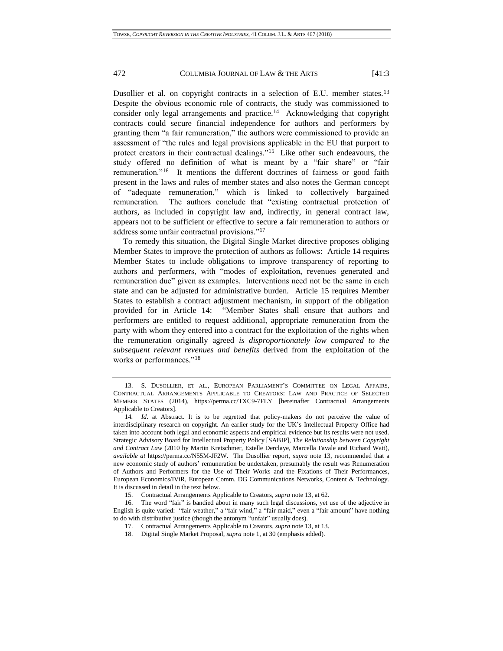<span id="page-5-0"></span>Dusollier et al. on copyright contracts in a selection of E.U. member states.<sup>13</sup> Despite the obvious economic role of contracts, the study was commissioned to consider only legal arrangements and practice.<sup>14</sup> Acknowledging that copyright contracts could secure financial independence for authors and performers by granting them "a fair remuneration," the authors were commissioned to provide an assessment of "the rules and legal provisions applicable in the EU that purport to protect creators in their contractual dealings."<sup>15</sup> Like other such endeavours, the study offered no definition of what is meant by a "fair share" or "fair remuneration."<sup>16</sup> It mentions the different doctrines of fairness or good faith present in the laws and rules of member states and also notes the German concept of "adequate remuneration," which is linked to collectively bargained remuneration. The authors conclude that "existing contractual protection of authors, as included in copyright law and, indirectly, in general contract law, appears not to be sufficient or effective to secure a fair remuneration to authors or address some unfair contractual provisions."<sup>17</sup>

To remedy this situation, the Digital Single Market directive proposes obliging Member States to improve the protection of authors as follows: Article 14 requires Member States to include obligations to improve transparency of reporting to authors and performers, with "modes of exploitation, revenues generated and remuneration due" given as examples. Interventions need not be the same in each state and can be adjusted for administrative burden. Article 15 requires Member States to establish a contract adjustment mechanism, in support of the obligation provided for in Article 14: "Member States shall ensure that authors and performers are entitled to request additional, appropriate remuneration from the party with whom they entered into a contract for the exploitation of the rights when the remuneration originally agreed *is disproportionately low compared to the subsequent relevant revenues and benefits* derived from the exploitation of the works or performances."<sup>18</sup>

<sup>13.</sup> S. DUSOLLIER, ET AL., EUROPEAN PARLIAMENT'S COMMITTEE ON LEGAL AFFAIRS, CONTRACTUAL ARRANGEMENTS APPLICABLE TO CREATORS: LAW AND PRACTICE OF SELECTED MEMBER STATES (2014), https://perma.cc/TXC9-7FLY [hereinafter Contractual Arrangements Applicable to Creators].

<sup>14</sup>*. Id*. at Abstract. It is to be regretted that policy-makers do not perceive the value of interdisciplinary research on copyright. An earlier study for the UK's Intellectual Property Office had taken into account both legal and economic aspects and empirical evidence but its results were not used. Strategic Advisory Board for Intellectual Property Policy [SABIP], *The Relationship between Copyright and Contract Law* (2010 by Martin Kretschmer, Estelle Derclaye, Marcella Favale and Richard Watt), *available at* https://perma.cc/N55M-JF2W. The Dusollier report, *supra* note [13,](#page-5-0) recommended that a new economic study of authors' remuneration be undertaken, presumably the result was Renumeration of Authors and Performers for the Use of Their Works and the Fixations of Their Performances, European Economics/IViR, European Comm. DG Communications Networks, Content & Technology. It is discussed in detail in the text below.

<sup>15.</sup> Contractual Arrangements Applicable to Creators, *supra* not[e 13,](#page-5-0) at 62.

<sup>16.</sup> The word "fair" is bandied about in many such legal discussions, yet use of the adjective in English is quite varied: "fair weather," a "fair wind," a "fair maid," even a "fair amount" have nothing to do with distributive justice (though the antonym "unfair" usually does).

<sup>17.</sup> Contractual Arrangements Applicable to Creators, *supra* not[e 13,](#page-5-0) at 13.

<sup>18.</sup> Digital Single Market Proposal, *supra* note [1,](#page-0-0) at 30 (emphasis added).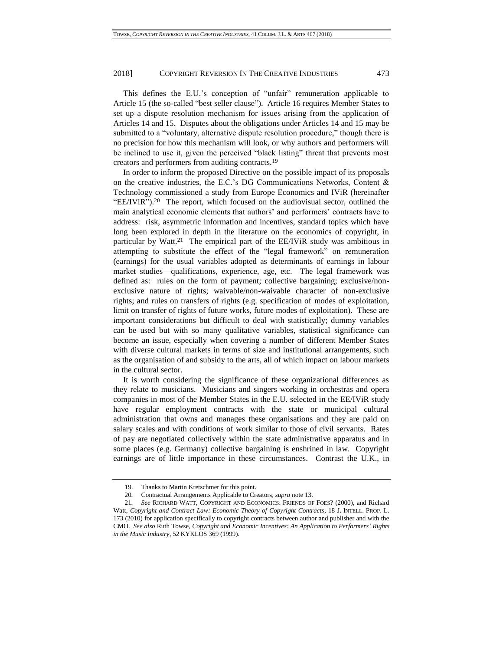This defines the E.U.'s conception of "unfair" remuneration applicable to Article 15 (the so-called "best seller clause"). Article 16 requires Member States to set up a dispute resolution mechanism for issues arising from the application of Articles 14 and 15. Disputes about the obligations under Articles 14 and 15 may be submitted to a "voluntary, alternative dispute resolution procedure," though there is no precision for how this mechanism will look, or why authors and performers will be inclined to use it, given the perceived "black listing" threat that prevents most creators and performers from auditing contracts.<sup>19</sup>

<span id="page-6-0"></span>In order to inform the proposed Directive on the possible impact of its proposals on the creative industries, the E.C.'s DG Communications Networks, Content & Technology commissioned a study from Europe Economics and IViR (hereinafter "EE/IViR").<sup>20</sup> The report, which focused on the audiovisual sector, outlined the main analytical economic elements that authors' and performers' contracts have to address: risk, asymmetric information and incentives, standard topics which have long been explored in depth in the literature on the economics of copyright, in particular by Watt.<sup>21</sup> The empirical part of the  $EE/IViR$  study was ambitious in attempting to substitute the effect of the "legal framework" on remuneration (earnings) for the usual variables adopted as determinants of earnings in labour market studies—qualifications, experience, age, etc. The legal framework was defined as: rules on the form of payment; collective bargaining; exclusive/nonexclusive nature of rights; waivable/non-waivable character of non-exclusive rights; and rules on transfers of rights (e.g. specification of modes of exploitation, limit on transfer of rights of future works, future modes of exploitation). These are important considerations but difficult to deal with statistically; dummy variables can be used but with so many qualitative variables, statistical significance can become an issue, especially when covering a number of different Member States with diverse cultural markets in terms of size and institutional arrangements, such as the organisation of and subsidy to the arts, all of which impact on labour markets in the cultural sector.

It is worth considering the significance of these organizational differences as they relate to musicians. Musicians and singers working in orchestras and opera companies in most of the Member States in the E.U. selected in the EE/IViR study have regular employment contracts with the state or municipal cultural administration that owns and manages these organisations and they are paid on salary scales and with conditions of work similar to those of civil servants. Rates of pay are negotiated collectively within the state administrative apparatus and in some places (e.g. Germany) collective bargaining is enshrined in law. Copyright earnings are of little importance in these circumstances. Contrast the U.K., in

<sup>19.</sup> Thanks to Martin Kretschmer for this point.

<sup>20</sup>*.* Contractual Arrangements Applicable to Creators, *supra* not[e 13.](#page-5-0)

<sup>21</sup>*. See* RICHARD WATT, COPYRIGHT AND ECONOMICS: FRIENDS OF FOES? (2000), and Richard Watt, *Copyright and Contract Law: Economic Theory of Copyright Contracts*, 18 J. INTELL. PROP. L. 173 (2010) for application specifically to copyright contracts between author and publisher and with the CMO. *See also* Ruth Towse, *Copyright and Economic Incentives: An Application to Performers' Rights in the Music Industry*, 52 KYKLOS 369 (1999).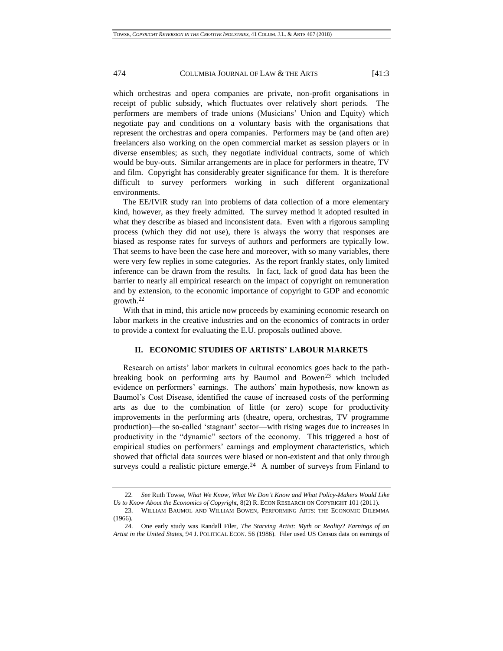which orchestras and opera companies are private, non-profit organisations in receipt of public subsidy, which fluctuates over relatively short periods. The performers are members of trade unions (Musicians' Union and Equity) which negotiate pay and conditions on a voluntary basis with the organisations that represent the orchestras and opera companies. Performers may be (and often are) freelancers also working on the open commercial market as session players or in diverse ensembles; as such, they negotiate individual contracts, some of which would be buy-outs. Similar arrangements are in place for performers in theatre, TV and film. Copyright has considerably greater significance for them. It is therefore difficult to survey performers working in such different organizational environments.

The EE/IViR study ran into problems of data collection of a more elementary kind, however, as they freely admitted. The survey method it adopted resulted in what they describe as biased and inconsistent data. Even with a rigorous sampling process (which they did not use), there is always the worry that responses are biased as response rates for surveys of authors and performers are typically low. That seems to have been the case here and moreover, with so many variables, there were very few replies in some categories. As the report frankly states, only limited inference can be drawn from the results. In fact, lack of good data has been the barrier to nearly all empirical research on the impact of copyright on remuneration and by extension, to the economic importance of copyright to GDP and economic growth.<sup>22</sup>

With that in mind, this article now proceeds by examining economic research on labor markets in the creative industries and on the economics of contracts in order to provide a context for evaluating the E.U. proposals outlined above.

#### **II. ECONOMIC STUDIES OF ARTISTS' LABOUR MARKETS**

Research on artists' labor markets in cultural economics goes back to the pathbreaking book on performing arts by Baumol and Bowen<sup>23</sup> which included evidence on performers' earnings. The authors' main hypothesis, now known as Baumol's Cost Disease, identified the cause of increased costs of the performing arts as due to the combination of little (or zero) scope for productivity improvements in the performing arts (theatre, opera, orchestras, TV programme production)—the so-called 'stagnant' sector—with rising wages due to increases in productivity in the "dynamic" sectors of the economy. This triggered a host of empirical studies on performers' earnings and employment characteristics, which showed that official data sources were biased or non-existent and that only through surveys could a realistic picture emerge.<sup>24</sup> A number of surveys from Finland to

<sup>22</sup>*. See* Ruth Towse, *What We Know, What We Don't Know and What Policy-Makers Would Like Us to Know About the Economics of Copyright*, 8(2) R. ECON RESEARCH ON COPYRIGHT 101 (2011).

<sup>23.</sup> WILLIAM BAUMOL AND WILLIAM BOWEN, PERFORMING ARTS: THE ECONOMIC DILEMMA (1966).

<sup>24.</sup> One early study was Randall Filer, *The Starving Artist: Myth or Reality? Earnings of an Artist in the United States*, 94 J. POLITICAL ECON. 56 (1986). Filer used US Census data on earnings of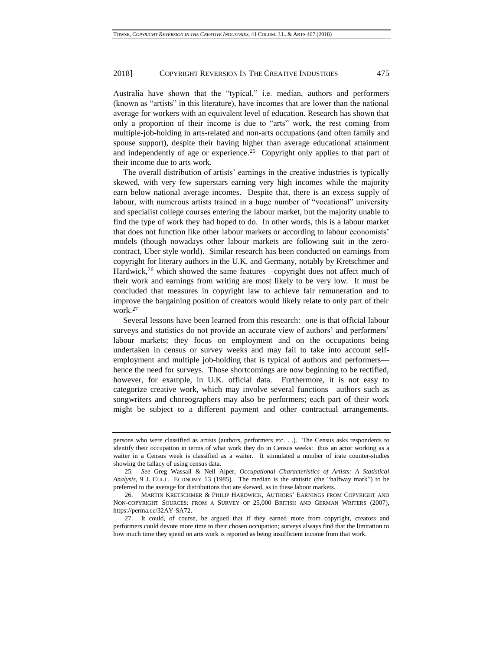Australia have shown that the "typical," i.e. median, authors and performers (known as "artists" in this literature), have incomes that are lower than the national average for workers with an equivalent level of education. Research has shown that only a proportion of their income is due to "arts" work, the rest coming from multiple-job-holding in arts-related and non-arts occupations (and often family and spouse support), despite their having higher than average educational attainment and independently of age or experience.<sup>25</sup> Copyright only applies to that part of their income due to arts work.

The overall distribution of artists' earnings in the creative industries is typically skewed, with very few superstars earning very high incomes while the majority earn below national average incomes. Despite that, there is an excess supply of labour, with numerous artists trained in a huge number of "vocational" university and specialist college courses entering the labour market, but the majority unable to find the type of work they had hoped to do. In other words, this is a labour market that does not function like other labour markets or according to labour economists' models (though nowadays other labour markets are following suit in the zerocontract, Uber style world). Similar research has been conducted on earnings from copyright for literary authors in the U.K. and Germany, notably by Kretschmer and Hardwick,<sup>26</sup> which showed the same features—copyright does not affect much of their work and earnings from writing are most likely to be very low. It must be concluded that measures in copyright law to achieve fair remuneration and to improve the bargaining position of creators would likely relate to only part of their work.<sup>27</sup>

<span id="page-8-0"></span>Several lessons have been learned from this research: one is that official labour surveys and statistics do not provide an accurate view of authors' and performers' labour markets; they focus on employment and on the occupations being undertaken in census or survey weeks and may fail to take into account selfemployment and multiple job-holding that is typical of authors and performers hence the need for surveys. Those shortcomings are now beginning to be rectified, however, for example, in U.K. official data. Furthermore, it is not easy to categorize creative work, which may involve several functions—authors such as songwriters and choreographers may also be performers; each part of their work might be subject to a different payment and other contractual arrangements.

persons who were classified as artists (authors, performers etc. . .). The Census asks respondents to identify their occupation in terms of what work they do in Census weeks: thus an actor working as a waiter in a Census week is classified as a waiter. It stimulated a number of irate counter-studies showing the fallacy of using census data.

<sup>25</sup>*. See* Greg Wassall & Neil Alper, *Occupational Characteristics of Artists: A Statistical Analysis*, 9 J. CULT. ECONOMY 13 (1985). The median is the statistic (the "halfway mark") to be preferred to the average for distributions that are skewed, as in these labour markets.

<sup>26.</sup> MARTIN KRETSCHMER & PHILIP HARDWICK, AUTHORS' EARNINGS FROM COPYRIGHT AND NON-COPYRIGHT SOURCES: FROM A SURVEY OF 25,000 BRITISH AND GERMAN WRITERS (2007), https://perma.cc/32AY-SA72.

<sup>27.</sup> It could, of course, be argued that if they earned more from copyright, creators and performers could devote more time to their chosen occupation; surveys always find that the limitation to how much time they spend on arts work is reported as being insufficient income from that work.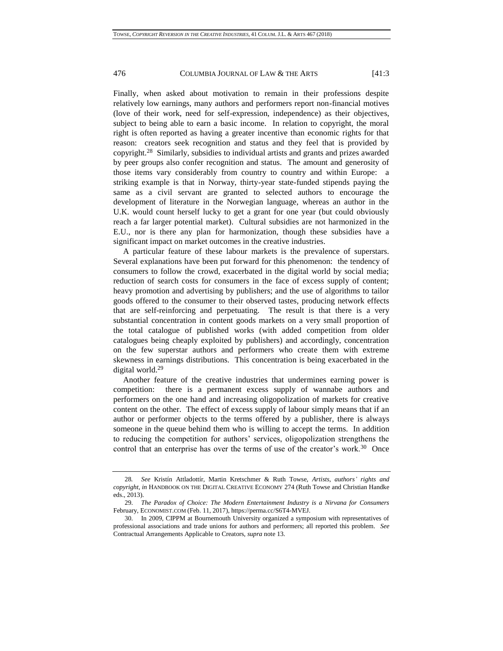Finally, when asked about motivation to remain in their professions despite relatively low earnings, many authors and performers report non-financial motives (love of their work, need for self-expression, independence) as their objectives, subject to being able to earn a basic income. In relation to copyright, the moral right is often reported as having a greater incentive than economic rights for that reason: creators seek recognition and status and they feel that is provided by copyright.<sup>28</sup> Similarly, subsidies to individual artists and grants and prizes awarded by peer groups also confer recognition and status. The amount and generosity of those items vary considerably from country to country and within Europe: a striking example is that in Norway, thirty-year state-funded stipends paying the same as a civil servant are granted to selected authors to encourage the development of literature in the Norwegian language, whereas an author in the U.K. would count herself lucky to get a grant for one year (but could obviously reach a far larger potential market). Cultural subsidies are not harmonized in the E.U., nor is there any plan for harmonization, though these subsidies have a significant impact on market outcomes in the creative industries.

A particular feature of these labour markets is the prevalence of superstars. Several explanations have been put forward for this phenomenon: the tendency of consumers to follow the crowd, exacerbated in the digital world by social media; reduction of search costs for consumers in the face of excess supply of content; heavy promotion and advertising by publishers; and the use of algorithms to tailor goods offered to the consumer to their observed tastes, producing network effects that are self-reinforcing and perpetuating. The result is that there is a very substantial concentration in content goods markets on a very small proportion of the total catalogue of published works (with added competition from older catalogues being cheaply exploited by publishers) and accordingly, concentration on the few superstar authors and performers who create them with extreme skewness in earnings distributions. This concentration is being exacerbated in the digital world.<sup>29</sup>

Another feature of the creative industries that undermines earning power is competition: there is a permanent excess supply of wannabe authors and performers on the one hand and increasing oligopolization of markets for creative content on the other. The effect of excess supply of labour simply means that if an author or performer objects to the terms offered by a publisher, there is always someone in the queue behind them who is willing to accept the terms. In addition to reducing the competition for authors' services, oligopolization strengthens the control that an enterprise has over the terms of use of the creator's work.<sup>30</sup> Once

<sup>28</sup>*. See* Kristín Attladottír, Martin Kretschmer & Ruth Towse, *Artists, authors' rights and copyright*, *in* HANDBOOK ON THE DIGITAL CREATIVE ECONOMY 274 (Ruth Towse and Christian Handke eds., 2013).

<sup>29.</sup> *The Paradox of Choice: The Modern Entertainment Industry is a Nirvana for Consumers* February, ECONOMIST.COM (Feb. 11, 2017), https://perma.cc/S6T4-MVEJ.

<sup>30.</sup> In 2009, CIPPM at Bournemouth University organized a symposium with representatives of professional associations and trade unions for authors and performers; all reported this problem. *See* Contractual Arrangements Applicable to Creators, *supra* not[e 13.](#page-5-0)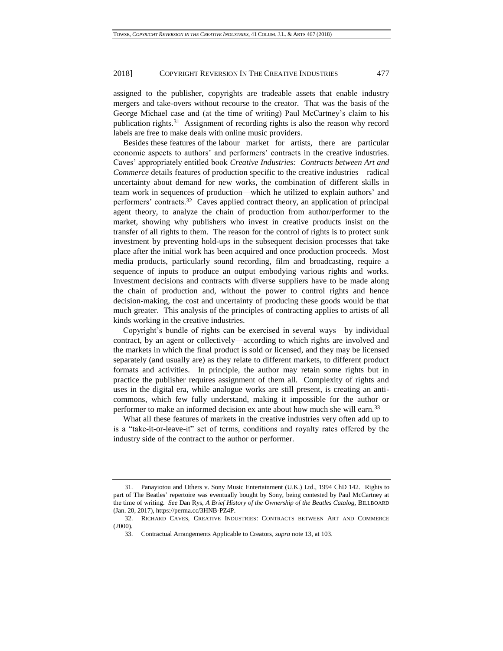assigned to the publisher, copyrights are tradeable assets that enable industry mergers and take-overs without recourse to the creator. That was the basis of the George Michael case and (at the time of writing) Paul McCartney's claim to his publication rights. 31 Assignment of recording rights is also the reason why record labels are free to make deals with online music providers.

<span id="page-10-0"></span>Besides these features of the labour market for artists, there are particular economic aspects to authors' and performers' contracts in the creative industries. Caves' appropriately entitled book *Creative Industries: Contracts between Art and Commerce* details features of production specific to the creative industries—radical uncertainty about demand for new works, the combination of different skills in team work in sequences of production—which he utilized to explain authors' and performers' contracts.<sup>32</sup> Caves applied contract theory, an application of principal agent theory, to analyze the chain of production from author/performer to the market, showing why publishers who invest in creative products insist on the transfer of all rights to them. The reason for the control of rights is to protect sunk investment by preventing hold-ups in the subsequent decision processes that take place after the initial work has been acquired and once production proceeds. Most media products, particularly sound recording, film and broadcasting, require a sequence of inputs to produce an output embodying various rights and works. Investment decisions and contracts with diverse suppliers have to be made along the chain of production and, without the power to control rights and hence decision-making, the cost and uncertainty of producing these goods would be that much greater. This analysis of the principles of contracting applies to artists of all kinds working in the creative industries.

Copyright's bundle of rights can be exercised in several ways—by individual contract, by an agent or collectively—according to which rights are involved and the markets in which the final product is sold or licensed, and they may be licensed separately (and usually are) as they relate to different markets, to different product formats and activities. In principle, the author may retain some rights but in practice the publisher requires assignment of them all. Complexity of rights and uses in the digital era, while analogue works are still present, is creating an anticommons, which few fully understand, making it impossible for the author or performer to make an informed decision ex ante about how much she will earn.<sup>33</sup>

What all these features of markets in the creative industries very often add up to is a "take-it-or-leave-it" set of terms, conditions and royalty rates offered by the industry side of the contract to the author or performer.

<sup>31.</sup> Panayiotou and Others v. Sony Music Entertainment (U.K.) Ltd., 1994 ChD 142. Rights to part of The Beatles' repertoire was eventually bought by Sony, being contested by Paul McCartney at the time of writing. *See* Dan Rys*, A Brief History of the Ownership of the Beatles Catalog,* BILLBOARD (Jan. 20, 2017), https://perma.cc/3HNB-PZ4P.

<sup>32.</sup> RICHARD CAVES, CREATIVE INDUSTRIES: CONTRACTS BETWEEN ART AND COMMERCE (2000).

<sup>33.</sup> Contractual Arrangements Applicable to Creators, *supra* not[e 13,](#page-5-0) at 103.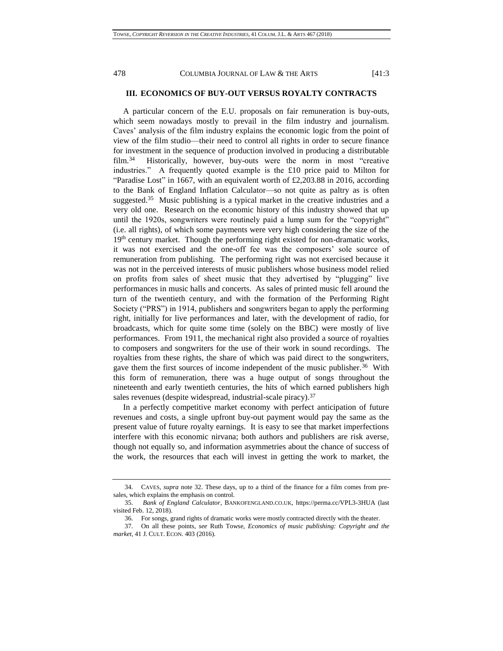# **III. ECONOMICS OF BUY-OUT VERSUS ROYALTY CONTRACTS**

A particular concern of the E.U. proposals on fair remuneration is buy-outs, which seem nowadays mostly to prevail in the film industry and journalism. Caves' analysis of the film industry explains the economic logic from the point of view of the film studio—their need to control all rights in order to secure finance for investment in the sequence of production involved in producing a distributable film.<sup>34</sup> Historically, however, buy-outs were the norm in most "creative industries." A frequently quoted example is the £10 price paid to Milton for "Paradise Lost" in 1667, with an equivalent worth of £2,203.88 in 2016, according to the Bank of England Inflation Calculator—so not quite as paltry as is often suggested.<sup>35</sup> Music publishing is a typical market in the creative industries and a very old one. Research on the economic history of this industry showed that up until the 1920s, songwriters were routinely paid a lump sum for the "copyright" (i.e. all rights), of which some payments were very high considering the size of the 19<sup>th</sup> century market. Though the performing right existed for non-dramatic works, it was not exercised and the one-off fee was the composers' sole source of remuneration from publishing. The performing right was not exercised because it was not in the perceived interests of music publishers whose business model relied on profits from sales of sheet music that they advertised by "plugging" live performances in music halls and concerts. As sales of printed music fell around the turn of the twentieth century, and with the formation of the Performing Right Society ("PRS") in 1914, publishers and songwriters began to apply the performing right, initially for live performances and later, with the development of radio, for broadcasts, which for quite some time (solely on the BBC) were mostly of live performances. From 1911, the mechanical right also provided a source of royalties to composers and songwriters for the use of their work in sound recordings. The royalties from these rights, the share of which was paid direct to the songwriters, gave them the first sources of income independent of the music publisher.<sup>36</sup> With this form of remuneration, there was a huge output of songs throughout the nineteenth and early twentieth centuries, the hits of which earned publishers high sales revenues (despite widespread, industrial-scale piracy).<sup>37</sup>

In a perfectly competitive market economy with perfect anticipation of future revenues and costs, a single upfront buy-out payment would pay the same as the present value of future royalty earnings. It is easy to see that market imperfections interfere with this economic nirvana; both authors and publishers are risk averse, though not equally so, and information asymmetries about the chance of success of the work, the resources that each will invest in getting the work to market, the

<sup>34.</sup> CAVES, *supra* note [32.](#page-10-0) These days, up to a third of the finance for a film comes from presales, which explains the emphasis on control.

<sup>35.</sup> *Bank of England Calculator*, BANKOFENGLAND.CO.UK, https://perma.cc/VPL3-3HUA (last visited Feb. 12, 2018).

<sup>36.</sup> For songs, grand rights of dramatic works were mostly contracted directly with the theater.

<sup>37.</sup> On all these points*, see* Ruth Towse, *Economics of music publishing: Copyright and the market*, 41 J. CULT. ECON. 403 (2016).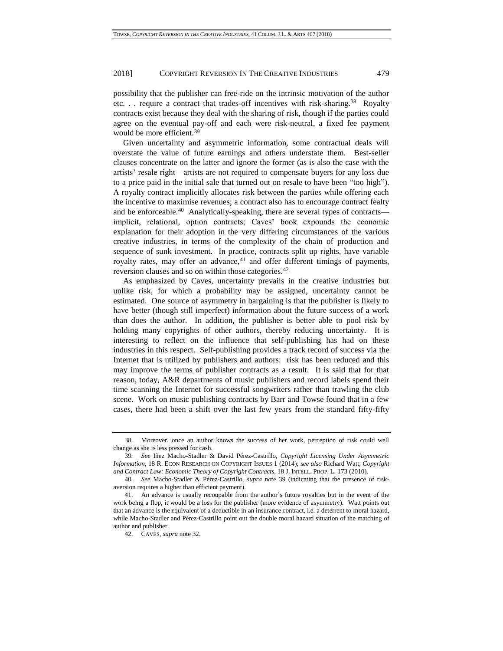possibility that the publisher can free-ride on the intrinsic motivation of the author etc... require a contract that trades-off incentives with risk-sharing.<sup>38</sup> Royalty contracts exist because they deal with the sharing of risk, though if the parties could agree on the eventual pay-off and each were risk-neutral, a fixed fee payment would be more efficient.<sup>39</sup>

<span id="page-12-0"></span>Given uncertainty and asymmetric information, some contractual deals will overstate the value of future earnings and others understate them. Best-seller clauses concentrate on the latter and ignore the former (as is also the case with the artists' resale right—artists are not required to compensate buyers for any loss due to a price paid in the initial sale that turned out on resale to have been "too high"). A royalty contract implicitly allocates risk between the parties while offering each the incentive to maximise revenues; a contract also has to encourage contract fealty and be enforceable.<sup>40</sup> Analytically-speaking, there are several types of contracts implicit, relational, option contracts; Caves' book expounds the economic explanation for their adoption in the very differing circumstances of the various creative industries, in terms of the complexity of the chain of production and sequence of sunk investment. In practice, contracts split up rights, have variable royalty rates, may offer an advance, $41$  and offer different timings of payments, reversion clauses and so on within those categories.<sup>42</sup>

As emphasized by Caves, uncertainty prevails in the creative industries but unlike risk, for which a probability may be assigned, uncertainty cannot be estimated. One source of asymmetry in bargaining is that the publisher is likely to have better (though still imperfect) information about the future success of a work than does the author. In addition, the publisher is better able to pool risk by holding many copyrights of other authors, thereby reducing uncertainty. It is interesting to reflect on the influence that self-publishing has had on these industries in this respect. Self-publishing provides a track record of success via the Internet that is utilized by publishers and authors: risk has been reduced and this may improve the terms of publisher contracts as a result. It is said that for that reason, today, A&R departments of music publishers and record labels spend their time scanning the Internet for successful songwriters rather than trawling the club scene. Work on music publishing contracts by Barr and Towse found that in a few cases, there had been a shift over the last few years from the standard fifty-fifty

<sup>38.</sup> Moreover, once an author knows the success of her work, perception of risk could well change as she is less pressed for cash.

<sup>39</sup>*. See* Iñez Macho-Stadler & David Pérez-Castrillo, *Copyright Licensing Under Asymmetric Information*, 18 R. ECON RESEARCH ON COPYRIGHT ISSUES 1 (2014); *see also* Richard Watt, *Copyright and Contract Law: Economic Theory of Copyright Contracts*, 18 J. INTELL. PROP. L. 173 (2010).

<sup>40</sup>*. See* Macho-Stadler & Pérez-Castrillo, *supra* note [39](#page-12-0) (indicating that the presence of riskaversion requires a higher than efficient payment).

<sup>41.</sup> An advance is usually recoupable from the author's future royalties but in the event of the work being a flop, it would be a loss for the publisher (more evidence of asymmetry). Watt points out that an advance is the equivalent of a deductible in an insurance contract, i.e. a deterrent to moral hazard, while Macho-Stadler and Pérez-Castrillo point out the double moral hazard situation of the matching of author and publisher.

<sup>42.</sup> CAVES, *supra* not[e 32.](#page-10-0)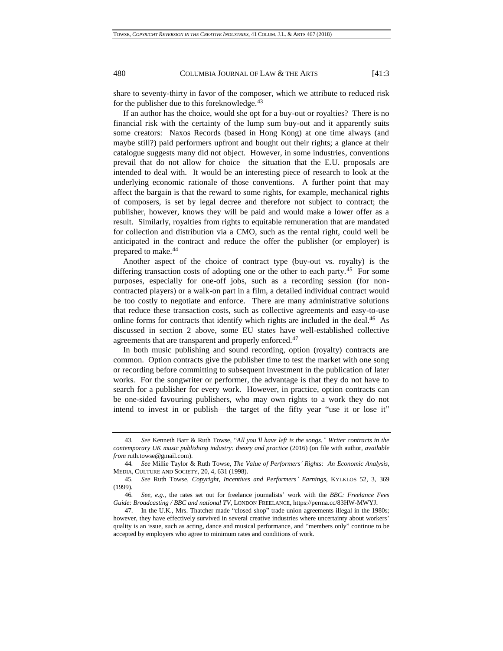share to seventy-thirty in favor of the composer, which we attribute to reduced risk for the publisher due to this foreknowledge.<sup>43</sup>

If an author has the choice, would she opt for a buy-out or royalties? There is no financial risk with the certainty of the lump sum buy-out and it apparently suits some creators: Naxos Records (based in Hong Kong) at one time always (and maybe still?) paid performers upfront and bought out their rights; a glance at their catalogue suggests many did not object. However, in some industries, conventions prevail that do not allow for choice—the situation that the E.U. proposals are intended to deal with. It would be an interesting piece of research to look at the underlying economic rationale of those conventions. A further point that may affect the bargain is that the reward to some rights, for example, mechanical rights of composers, is set by legal decree and therefore not subject to contract; the publisher, however, knows they will be paid and would make a lower offer as a result. Similarly, royalties from rights to equitable remuneration that are mandated for collection and distribution via a CMO, such as the rental right, could well be anticipated in the contract and reduce the offer the publisher (or employer) is prepared to make.<sup>44</sup>

Another aspect of the choice of contract type (buy-out vs. royalty) is the differing transaction costs of adopting one or the other to each party.<sup>45</sup> For some purposes, especially for one-off jobs, such as a recording session (for noncontracted players) or a walk-on part in a film, a detailed individual contract would be too costly to negotiate and enforce. There are many administrative solutions that reduce these transaction costs, such as collective agreements and easy-to-use online forms for contracts that identify which rights are included in the deal.<sup>46</sup> As discussed in section 2 above, some EU states have well-established collective agreements that are transparent and properly enforced.<sup>47</sup>

In both music publishing and sound recording, option (royalty) contracts are common. Option contracts give the publisher time to test the market with one song or recording before committing to subsequent investment in the publication of later works. For the songwriter or performer, the advantage is that they do not have to search for a publisher for every work. However, in practice, option contracts can be one-sided favouring publishers, who may own rights to a work they do not intend to invest in or publish—the target of the fifty year "use it or lose it"

480 COLUMBIA JOURNAL OF LAW & THE ARTS [41:3

<sup>43</sup>*. See* Kenneth Barr & Ruth Towse, "*All you'll have left is the songs." Writer contracts in the contemporary UK music publishing industry: theory and practice* (2016) (on file with author, *available from* [ruth.towse@gmail.com\)](mailto:ruth.towse@gmail.com).

<sup>44</sup>*. See* Millie Taylor & Ruth Towse, *The Value of Performers' Rights: An Economic Analysis,* MEDIA, CULTURE AND SOCIETY, 20, 4, 631 (1998).

<sup>45</sup>*. See* Ruth Towse, *Copyright, Incentives and Performers' Earnings,* KYLKLOS 52, 3, 369 (1999).

<sup>46</sup>*. See*, *e.g.*, the rates set out for freelance journalists' work with the *BBC: Freelance Fees Guide: Broadcasting / BBC and national TV*, LONDON FREELANCE, https://perma.cc/83HW-MWYJ.

<sup>47.</sup> In the U.K., Mrs. Thatcher made "closed shop" trade union agreements illegal in the 1980s; however, they have effectively survived in several creative industries where uncertainty about workers' quality is an issue, such as acting, dance and musical performance, and "members only" continue to be accepted by employers who agree to minimum rates and conditions of work.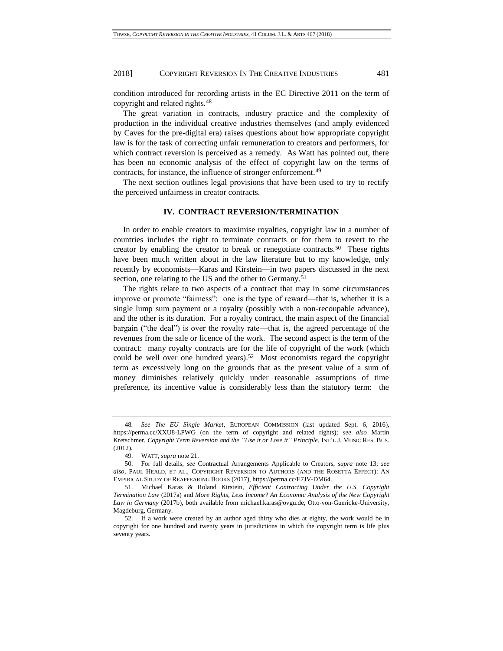condition introduced for recording artists in the EC Directive 2011 on the term of copyright and related rights.<sup>48</sup>

The great variation in contracts, industry practice and the complexity of production in the individual creative industries themselves (and amply evidenced by Caves for the pre-digital era) raises questions about how appropriate copyright law is for the task of correcting unfair remuneration to creators and performers, for which contract reversion is perceived as a remedy. As Watt has pointed out, there has been no economic analysis of the effect of copyright law on the terms of contracts, for instance, the influence of stronger enforcement.<sup>49</sup>

The next section outlines legal provisions that have been used to try to rectify the perceived unfairness in creator contracts.

#### <span id="page-14-1"></span><span id="page-14-0"></span>**IV. CONTRACT REVERSION/TERMINATION**

In order to enable creators to maximise royalties, copyright law in a number of countries includes the right to terminate contracts or for them to revert to the creator by enabling the creator to break or renegotiate contracts.<sup>50</sup> These rights have been much written about in the law literature but to my knowledge, only recently by economists—Karas and Kirstein—in two papers discussed in the next section, one relating to the US and the other to Germany.<sup>51</sup>

The rights relate to two aspects of a contract that may in some circumstances improve or promote "fairness": one is the type of reward—that is, whether it is a single lump sum payment or a royalty (possibly with a non-recoupable advance), and the other is its duration. For a royalty contract, the main aspect of the financial bargain ("the deal") is over the royalty rate—that is, the agreed percentage of the revenues from the sale or licence of the work. The second aspect is the term of the contract: many royalty contracts are for the life of copyright of the work (which could be well over one hundred years).<sup>52</sup> Most economists regard the copyright term as excessively long on the grounds that as the present value of a sum of money diminishes relatively quickly under reasonable assumptions of time preference, its incentive value is considerably less than the statutory term: the

<sup>48</sup>*. See The EU Single Market*, EUROPEAN COMMISSION (last updated Sept. 6, 2016), https://perma.cc/XXU8-LPWG (on the term of copyright and related rights); *see also* Martin Kretschmer, *Copyright Term Reversion and the "Use it or Lose it" Principle*, INT'L J. MUSIC RES. BUS. (2012).

<sup>49.</sup> WATT, *supra* not[e 21.](#page-6-0)

<sup>50.</sup> For full details, *see* Contractual Arrangements Applicable to Creators, *supra* note [13;](#page-5-0) *see also*, PAUL HEALD, ET AL., COPYRIGHT REVERSION TO AUTHORS (AND THE ROSETTA EFFECT): AN EMPIRICAL STUDY OF REAPPEARING BOOKS (2017), https://perma.cc/E7JV-DM64.

<sup>51.</sup> Michael Karas & Roland Kirstein, *Efficient Contracting Under the U.S. Copyright Termination Law* (2017a) and *More Rights, Less Income? An Economic Analysis of the New Copyright Law in Germany* (2017b), both available from [michael.karas@ovgu.de,](mailto:michael.karas@ovgu.de) Otto-von-Guericke-University, Magdeburg, Germany.

<sup>52.</sup> If a work were created by an author aged thirty who dies at eighty, the work would be in copyright for one hundred and twenty years in jurisdictions in which the copyright term is life plus seventy years.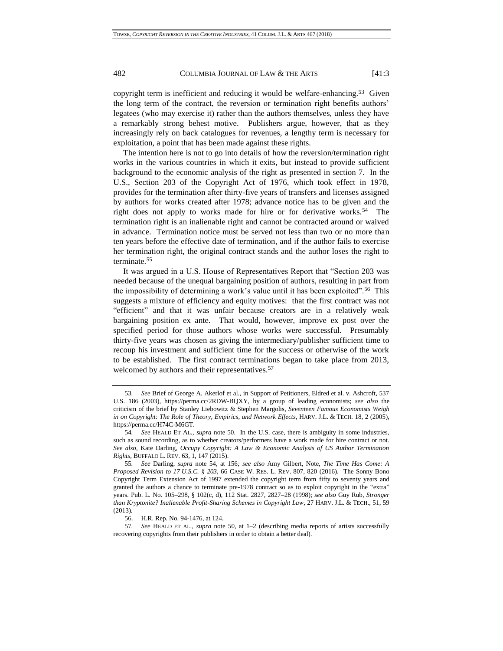copyright term is inefficient and reducing it would be welfare-enhancing.<sup>53</sup> Given the long term of the contract, the reversion or termination right benefits authors' legatees (who may exercise it) rather than the authors themselves, unless they have a remarkably strong behest motive. Publishers argue, however, that as they increasingly rely on back catalogues for revenues, a lengthy term is necessary for exploitation, a point that has been made against these rights.

<span id="page-15-0"></span>The intention here is not to go into details of how the reversion/termination right works in the various countries in which it exits, but instead to provide sufficient background to the economic analysis of the right as presented in section 7. In the U.S., Section 203 of the Copyright Act of 1976, which took effect in 1978, provides for the termination after thirty-five years of transfers and licenses assigned by authors for works created after 1978; advance notice has to be given and the right does not apply to works made for hire or for derivative works.<sup>54</sup> The termination right is an inalienable right and cannot be contracted around or waived in advance. Termination notice must be served not less than two or no more than ten years before the effective date of termination, and if the author fails to exercise her termination right, the original contract stands and the author loses the right to terminate.<sup>55</sup>

<span id="page-15-1"></span>It was argued in a U.S. House of Representatives Report that "Section 203 was needed because of the unequal bargaining position of authors, resulting in part from the impossibility of determining a work's value until it has been exploited".<sup>56</sup> This suggests a mixture of efficiency and equity motives: that the first contract was not "efficient" and that it was unfair because creators are in a relatively weak bargaining position ex ante. That would, however, improve ex post over the specified period for those authors whose works were successful. Presumably thirty-five years was chosen as giving the intermediary/publisher sufficient time to recoup his investment and sufficient time for the success or otherwise of the work to be established. The first contract terminations began to take place from 2013, welcomed by authors and their representatives.<sup>57</sup>

<sup>53</sup>*. See* Brief of George A. Akerlof et al., in Support of Petitioners, Eldred et al. v. Ashcroft, 537 U.S. 186 (2003), https://perma.cc/2RDW-BQXY, by a group of leading economists; *see also* the criticism of the brief by Stanley Liebowitz & Stephen Margolis, *Seventeen Famous Economists Weigh in on Copyright: The Role of Theory, Empirics, and Network Effects,* HARV. J.L. & TECH. 18, 2 (2005), https://perma.cc/H74C-M6GT.

<sup>54</sup>*. See* HEALD ET AL., *supra* note [50.](#page-14-0) In the U.S. case, there is ambiguity in some industries, such as sound recording, as to whether creators/performers have a work made for hire contract or not. *See also*, Kate Darling, *Occupy Copyright: A Law & Economic Analysis of US Author Termination Rights*, BUFFALO L. REV. 63, 1, 147 (2015).

<sup>55</sup>*. See* Darling, *supra* note [54,](#page-15-0) at 156*; see also* Amy Gilbert, Note, *The Time Has Come: A Proposed Revision to 17 U.S.C. § 203*, 66 CASE W. RES. L. REV. 807, 820 (2016). The Sonny Bono Copyright Term Extension Act of 1997 extended the copyright term from fifty to seventy years and granted the authors a chance to terminate pre-1978 contract so as to exploit copyright in the "extra" years. Pub. L. No. 105–298, § 102(c, d), 112 Stat. 2827, 2827–28 (1998); *see also* Guy Rub, *Stronger than Kryptonite? Inalienable Profit-Sharing Schemes in Copyright Law*, 27 HARV. J.L. & TECH., 51, 59 (2013).

<sup>56.</sup> H.R. Rep. No. 94-1476, at 124.

<sup>57</sup>*. See* HEALD ET AL., *supra* note [50,](#page-14-0) at 1–2 (describing media reports of artists successfully recovering copyrights from their publishers in order to obtain a better deal).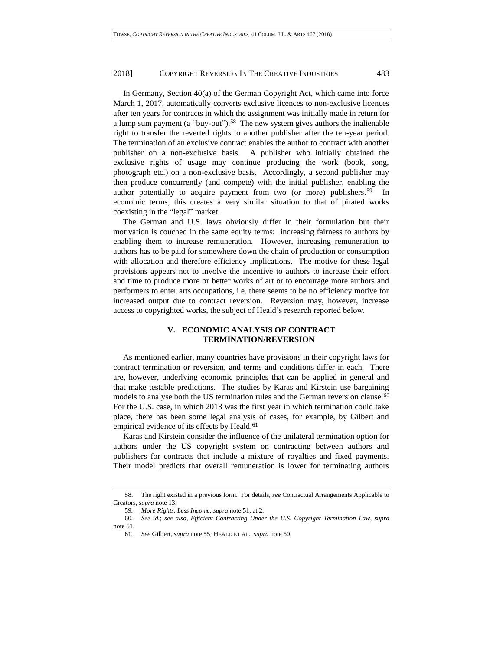In Germany, Section 40(a) of the German Copyright Act, which came into force March 1, 2017, automatically converts exclusive licences to non-exclusive licences after ten years for contracts in which the assignment was initially made in return for a lump sum payment (a "buy-out").<sup>58</sup> The new system gives authors the inalienable right to transfer the reverted rights to another publisher after the ten-year period. The termination of an exclusive contract enables the author to contract with another publisher on a non-exclusive basis. A publisher who initially obtained the exclusive rights of usage may continue producing the work (book, song, photograph etc.) on a non-exclusive basis. Accordingly, a second publisher may then produce concurrently (and compete) with the initial publisher, enabling the author potentially to acquire payment from two (or more) publishers.<sup>59</sup> In economic terms, this creates a very similar situation to that of pirated works coexisting in the "legal" market.

The German and U.S. laws obviously differ in their formulation but their motivation is couched in the same equity terms: increasing fairness to authors by enabling them to increase remuneration. However, increasing remuneration to authors has to be paid for somewhere down the chain of production or consumption with allocation and therefore efficiency implications. The motive for these legal provisions appears not to involve the incentive to authors to increase their effort and time to produce more or better works of art or to encourage more authors and performers to enter arts occupations, i.e. there seems to be no efficiency motive for increased output due to contract reversion. Reversion may, however, increase access to copyrighted works, the subject of Heald's research reported below.

# **V. ECONOMIC ANALYSIS OF CONTRACT TERMINATION/REVERSION**

As mentioned earlier, many countries have provisions in their copyright laws for contract termination or reversion, and terms and conditions differ in each. There are, however, underlying economic principles that can be applied in general and that make testable predictions. The studies by Karas and Kirstein use bargaining models to analyse both the US termination rules and the German reversion clause.<sup>60</sup> For the U.S. case, in which 2013 was the first year in which termination could take place, there has been some legal analysis of cases, for example, by Gilbert and empirical evidence of its effects by Heald.<sup>61</sup>

Karas and Kirstein consider the influence of the unilateral termination option for authors under the US copyright system on contracting between authors and publishers for contracts that include a mixture of royalties and fixed payments. Their model predicts that overall remuneration is lower for terminating authors

<sup>58.</sup> The right existed in a previous form. For details, *see* Contractual Arrangements Applicable to Creators, *supra* not[e 13.](#page-5-0)

<sup>59</sup>*. More Rights, Less Income*, *supra* not[e 51,](#page-14-1) at 2.

<sup>60</sup>*. See id.*; *see also*, *Efficient Contracting Under the U.S. Copyright Termination Law*, *supra* note [51.](#page-14-1)

<sup>61</sup>*. See* Gilbert, *supra* note [55;](#page-15-1) HEALD ET AL., *supra* note [50.](#page-14-0)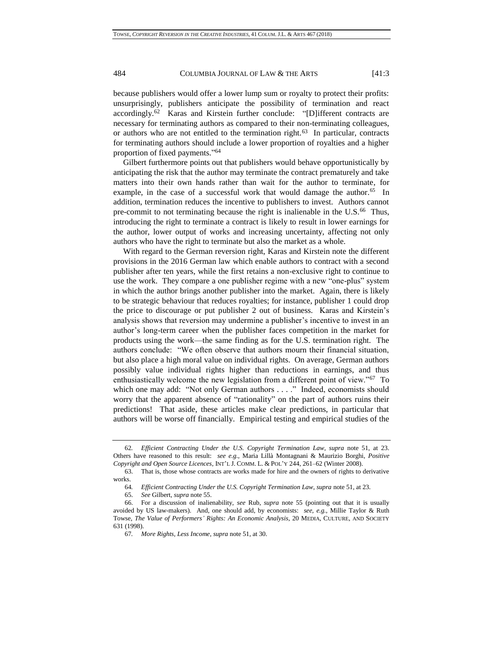because publishers would offer a lower lump sum or royalty to protect their profits: unsurprisingly, publishers anticipate the possibility of termination and react accordingly.<sup>62</sup> Karas and Kirstein further conclude: "[D]ifferent contracts are necessary for terminating authors as compared to their non-terminating colleagues, or authors who are not entitled to the termination right.<sup>63</sup> In particular, contracts for terminating authors should include a lower proportion of royalties and a higher proportion of fixed payments." 64

Gilbert furthermore points out that publishers would behave opportunistically by anticipating the risk that the author may terminate the contract prematurely and take matters into their own hands rather than wait for the author to terminate, for example, in the case of a successful work that would damage the author.<sup>65</sup> In addition, termination reduces the incentive to publishers to invest. Authors cannot pre-commit to not terminating because the right is inalienable in the U.S.<sup>66</sup> Thus, introducing the right to terminate a contract is likely to result in lower earnings for the author, lower output of works and increasing uncertainty, affecting not only authors who have the right to terminate but also the market as a whole.

With regard to the German reversion right, Karas and Kirstein note the different provisions in the 2016 German law which enable authors to contract with a second publisher after ten years, while the first retains a non-exclusive right to continue to use the work. They compare a one publisher regime with a new "one-plus" system in which the author brings another publisher into the market. Again, there is likely to be strategic behaviour that reduces royalties; for instance, publisher 1 could drop the price to discourage or put publisher 2 out of business. Karas and Kirstein's analysis shows that reversion may undermine a publisher's incentive to invest in an author's long-term career when the publisher faces competition in the market for products using the work—the same finding as for the U.S. termination right. The authors conclude: "We often observe that authors mourn their financial situation, but also place a high moral value on individual rights. On average, German authors possibly value individual rights higher than reductions in earnings, and thus enthusiastically welcome the new legislation from a different point of view."<sup>67</sup> To which one may add: "Not only German authors . . . ." Indeed, economists should worry that the apparent absence of "rationality" on the part of authors ruins their predictions! That aside, these articles make clear predictions, in particular that authors will be worse off financially. Empirical testing and empirical studies of the

<sup>62</sup>*. Efficient Contracting Under the U.S. Copyright Termination Law*, *supra* note [51,](#page-14-1) at 23. Others have reasoned to this result: *see e.g.*, Maria Lillà Montagnani & Maurizio Borghi, *Positive Copyright and Open Source Licences*, INT'L J. COMM. L. & POL'Y 244, 261–62 (Winter 2008).

<sup>63.</sup> That is, those whose contracts are works made for hire and the owners of rights to derivative works.

<sup>64</sup>*. Efficient Contracting Under the U.S. Copyright Termination Law, supra* not[e 51,](#page-14-1) at 23.

<sup>65.</sup> *See* Gilbert, *supra* note [55.](#page-15-1)

<sup>66.</sup> For a discussion of inalienability, *see* Rub, *supra* note [55](#page-15-1) (pointing out that it is usually avoided by US law-makers). And, one should add, by economists: *see, e.g.*, Millie Taylor & Ruth Towse, *The Value of Performers' Rights: An Economic Analysis*, 20 MEDIA, CULTURE, AND SOCIETY 631 (1998).

<sup>67</sup>*. More Rights, Less Income*, *supra* note [51,](#page-14-1) at 30.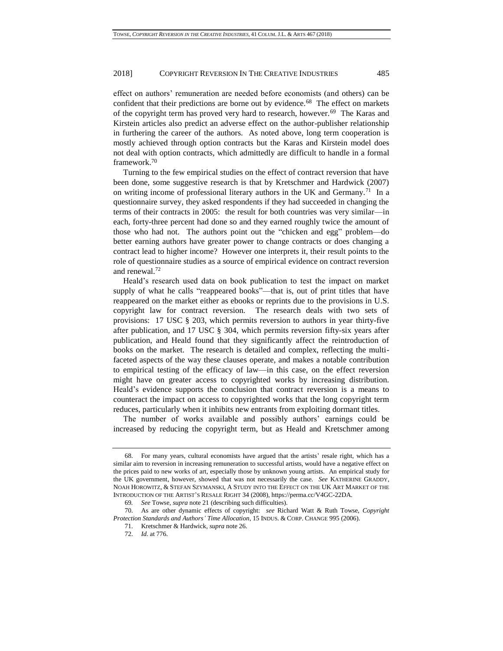effect on authors' remuneration are needed before economists (and others) can be confident that their predictions are borne out by evidence.<sup>68</sup> The effect on markets of the copyright term has proved very hard to research, however.<sup>69</sup> The Karas and Kirstein articles also predict an adverse effect on the author-publisher relationship in furthering the career of the authors. As noted above, long term cooperation is mostly achieved through option contracts but the Karas and Kirstein model does not deal with option contracts, which admittedly are difficult to handle in a formal framework.<sup>70</sup>

Turning to the few empirical studies on the effect of contract reversion that have been done, some suggestive research is that by Kretschmer and Hardwick (2007) on writing income of professional literary authors in the UK and Germany.<sup>71</sup> In a questionnaire survey, they asked respondents if they had succeeded in changing the terms of their contracts in 2005: the result for both countries was very similar—in each, forty-three percent had done so and they earned roughly twice the amount of those who had not. The authors point out the "chicken and egg" problem—do better earning authors have greater power to change contracts or does changing a contract lead to higher income? However one interprets it, their result points to the role of questionnaire studies as a source of empirical evidence on contract reversion and renewal.<sup>72</sup>

Heald's research used data on book publication to test the impact on market supply of what he calls "reappeared books"—that is, out of print titles that have reappeared on the market either as ebooks or reprints due to the provisions in U.S. copyright law for contract reversion. The research deals with two sets of provisions: 17 USC § 203, which permits reversion to authors in year thirty-five after publication, and 17 USC § 304, which permits reversion fifty-six years after publication, and Heald found that they significantly affect the reintroduction of books on the market. The research is detailed and complex, reflecting the multifaceted aspects of the way these clauses operate, and makes a notable contribution to empirical testing of the efficacy of law—in this case, on the effect reversion might have on greater access to copyrighted works by increasing distribution. Heald's evidence supports the conclusion that contract reversion is a means to counteract the impact on access to copyrighted works that the long copyright term reduces, particularly when it inhibits new entrants from exploiting dormant titles.

The number of works available and possibly authors' earnings could be increased by reducing the copyright term, but as Heald and Kretschmer among

<sup>68.</sup> For many years, cultural economists have argued that the artists' resale right, which has a similar aim to reversion in increasing remuneration to successful artists, would have a negative effect on the prices paid to new works of art, especially those by unknown young artists. An empirical study for the UK government, however, showed that was not necessarily the case. *See* KATHERINE GRADDY, NOAH HOROWITZ, & STEFAN SZYMANSKI, A STUDY INTO THE EFFECT ON THE UK ART MARKET OF THE INTRODUCTION OF THE ARTIST'S RESALE RIGHT 34 (2008), https://perma.cc/V4GC-22DA.

<sup>69</sup>*. See* Towse, *supra* not[e 21](#page-6-0) (describing such difficulties).

<sup>70.</sup> As are other dynamic effects of copyright: *see* Richard Watt & Ruth Towse, *Copyright Protection Standards and Authors' Time Allocation*, 15 INDUS. & CORP. CHANGE 995 (2006).

<sup>71.</sup> Kretschmer & Hardwick, *supra* note [26.](#page-8-0)

<sup>72.</sup> *Id.* at 776.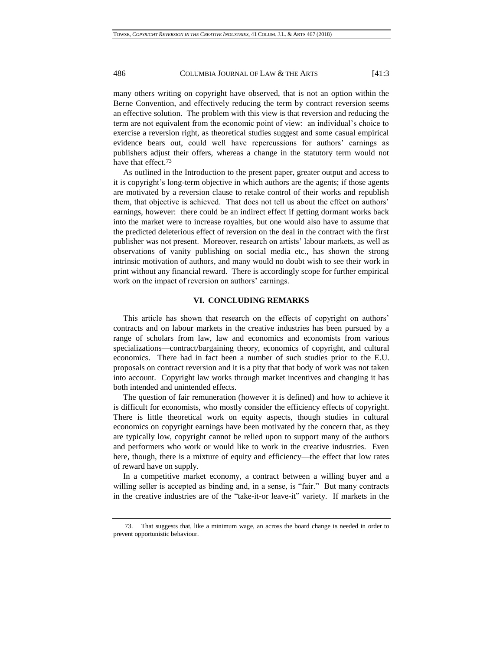many others writing on copyright have observed, that is not an option within the Berne Convention, and effectively reducing the term by contract reversion seems an effective solution. The problem with this view is that reversion and reducing the term are not equivalent from the economic point of view: an individual's choice to exercise a reversion right, as theoretical studies suggest and some casual empirical evidence bears out, could well have repercussions for authors' earnings as publishers adjust their offers, whereas a change in the statutory term would not have that effect.<sup>73</sup>

As outlined in the Introduction to the present paper, greater output and access to it is copyright's long-term objective in which authors are the agents; if those agents are motivated by a reversion clause to retake control of their works and republish them, that objective is achieved. That does not tell us about the effect on authors' earnings, however: there could be an indirect effect if getting dormant works back into the market were to increase royalties, but one would also have to assume that the predicted deleterious effect of reversion on the deal in the contract with the first publisher was not present. Moreover, research on artists' labour markets, as well as observations of vanity publishing on social media etc., has shown the strong intrinsic motivation of authors, and many would no doubt wish to see their work in print without any financial reward. There is accordingly scope for further empirical work on the impact of reversion on authors' earnings.

#### **VI. CONCLUDING REMARKS**

This article has shown that research on the effects of copyright on authors' contracts and on labour markets in the creative industries has been pursued by a range of scholars from law, law and economics and economists from various specializations—contract/bargaining theory, economics of copyright, and cultural economics. There had in fact been a number of such studies prior to the E.U. proposals on contract reversion and it is a pity that that body of work was not taken into account. Copyright law works through market incentives and changing it has both intended and unintended effects.

The question of fair remuneration (however it is defined) and how to achieve it is difficult for economists, who mostly consider the efficiency effects of copyright. There is little theoretical work on equity aspects, though studies in cultural economics on copyright earnings have been motivated by the concern that, as they are typically low, copyright cannot be relied upon to support many of the authors and performers who work or would like to work in the creative industries. Even here, though, there is a mixture of equity and efficiency—the effect that low rates of reward have on supply.

In a competitive market economy, a contract between a willing buyer and a willing seller is accepted as binding and, in a sense, is "fair." But many contracts in the creative industries are of the "take-it-or leave-it" variety. If markets in the

<sup>73.</sup> That suggests that, like a minimum wage, an across the board change is needed in order to prevent opportunistic behaviour.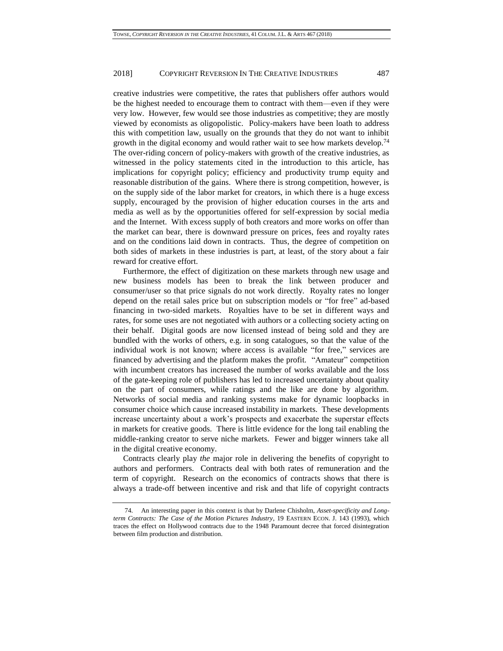creative industries were competitive, the rates that publishers offer authors would be the highest needed to encourage them to contract with them—even if they were very low. However, few would see those industries as competitive; they are mostly viewed by economists as oligopolistic. Policy-makers have been loath to address this with competition law, usually on the grounds that they do not want to inhibit growth in the digital economy and would rather wait to see how markets develop.<sup>74</sup> The over-riding concern of policy-makers with growth of the creative industries, as witnessed in the policy statements cited in the introduction to this article, has implications for copyright policy; efficiency and productivity trump equity and reasonable distribution of the gains. Where there is strong competition, however, is on the supply side of the labor market for creators, in which there is a huge excess supply, encouraged by the provision of higher education courses in the arts and media as well as by the opportunities offered for self-expression by social media and the Internet. With excess supply of both creators and more works on offer than the market can bear, there is downward pressure on prices, fees and royalty rates and on the conditions laid down in contracts. Thus, the degree of competition on both sides of markets in these industries is part, at least, of the story about a fair reward for creative effort.

Furthermore, the effect of digitization on these markets through new usage and new business models has been to break the link between producer and consumer/user so that price signals do not work directly. Royalty rates no longer depend on the retail sales price but on subscription models or "for free" ad-based financing in two-sided markets. Royalties have to be set in different ways and rates, for some uses are not negotiated with authors or a collecting society acting on their behalf. Digital goods are now licensed instead of being sold and they are bundled with the works of others, e.g. in song catalogues, so that the value of the individual work is not known; where access is available "for free," services are financed by advertising and the platform makes the profit. "Amateur" competition with incumbent creators has increased the number of works available and the loss of the gate-keeping role of publishers has led to increased uncertainty about quality on the part of consumers, while ratings and the like are done by algorithm. Networks of social media and ranking systems make for dynamic loopbacks in consumer choice which cause increased instability in markets. These developments increase uncertainty about a work's prospects and exacerbate the superstar effects in markets for creative goods. There is little evidence for the long tail enabling the middle-ranking creator to serve niche markets. Fewer and bigger winners take all in the digital creative economy.

Contracts clearly play *the* major role in delivering the benefits of copyright to authors and performers. Contracts deal with both rates of remuneration and the term of copyright. Research on the economics of contracts shows that there is always a trade-off between incentive and risk and that life of copyright contracts

<sup>74.</sup> An interesting paper in this context is that by Darlene Chisholm, *Asset-specificity and Longterm Contracts: The Case of the Motion Pictures Industry*, 19 EASTERN ECON. J. 143 (1993), which traces the effect on Hollywood contracts due to the 1948 Paramount decree that forced disintegration between film production and distribution.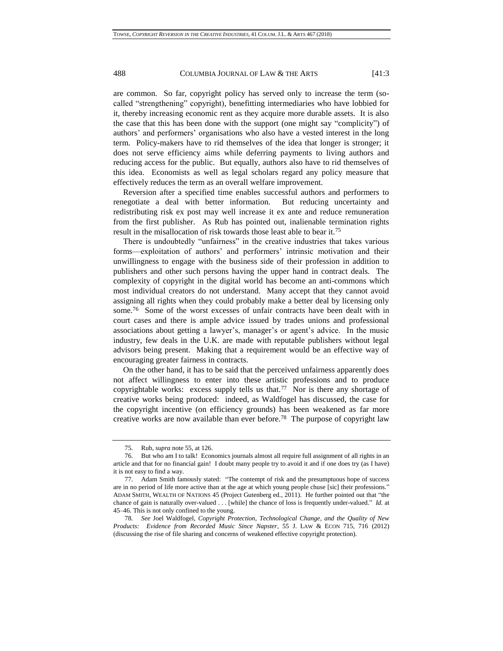are common. So far, copyright policy has served only to increase the term (socalled "strengthening" copyright), benefitting intermediaries who have lobbied for it, thereby increasing economic rent as they acquire more durable assets. It is also the case that this has been done with the support (one might say "complicity") of authors' and performers' organisations who also have a vested interest in the long term. Policy-makers have to rid themselves of the idea that longer is stronger; it does not serve efficiency aims while deferring payments to living authors and reducing access for the public. But equally, authors also have to rid themselves of this idea. Economists as well as legal scholars regard any policy measure that effectively reduces the term as an overall welfare improvement.

Reversion after a specified time enables successful authors and performers to renegotiate a deal with better information. But reducing uncertainty and redistributing risk ex post may well increase it ex ante and reduce remuneration from the first publisher. As Rub has pointed out, inalienable termination rights result in the misallocation of risk towards those least able to bear it.<sup>75</sup>

There is undoubtedly "unfairness" in the creative industries that takes various forms—exploitation of authors' and performers' intrinsic motivation and their unwillingness to engage with the business side of their profession in addition to publishers and other such persons having the upper hand in contract deals. The complexity of copyright in the digital world has become an anti-commons which most individual creators do not understand. Many accept that they cannot avoid assigning all rights when they could probably make a better deal by licensing only some.<sup>76</sup> Some of the worst excesses of unfair contracts have been dealt with in court cases and there is ample advice issued by trades unions and professional associations about getting a lawyer's, manager's or agent's advice. In the music industry, few deals in the U.K. are made with reputable publishers without legal advisors being present. Making that a requirement would be an effective way of encouraging greater fairness in contracts.

On the other hand, it has to be said that the perceived unfairness apparently does not affect willingness to enter into these artistic professions and to produce copyrightable works: excess supply tells us that.<sup>77</sup> Nor is there any shortage of creative works being produced: indeed, as Waldfogel has discussed, the case for the copyright incentive (on efficiency grounds) has been weakened as far more creative works are now available than ever before.<sup>78</sup> The purpose of copyright law

<sup>75.</sup> Rub, *supra* not[e 55,](#page-15-1) at 126.

<sup>76.</sup> But who am I to talk! Economics journals almost all require full assignment of all rights in an article and that for no financial gain! I doubt many people try to avoid it and if one does try (as I have) it is not easy to find a way.

<sup>77.</sup> Adam Smith famously stated: "The contempt of risk and the presumptuous hope of success are in no period of life more active than at the age at which young people chuse [sic] their professions." ADAM SMITH, WEALTH OF NATIONS 45 (Project Gutenberg ed., 2011). He further pointed out that "the chance of gain is naturally over-valued . . . [while] the chance of loss is frequently under-valued." *Id.* at 45–46. This is not only confined to the young.

<sup>78</sup>*. See* Joel Waldfogel, *Copyright Protection, Technological Change, and the Quality of New Products: Evidence from Recorded Music Since Napster*, 55 J. LAW & ECON 715, 716 (2012) (discussing the rise of file sharing and concerns of weakened effective copyright protection).